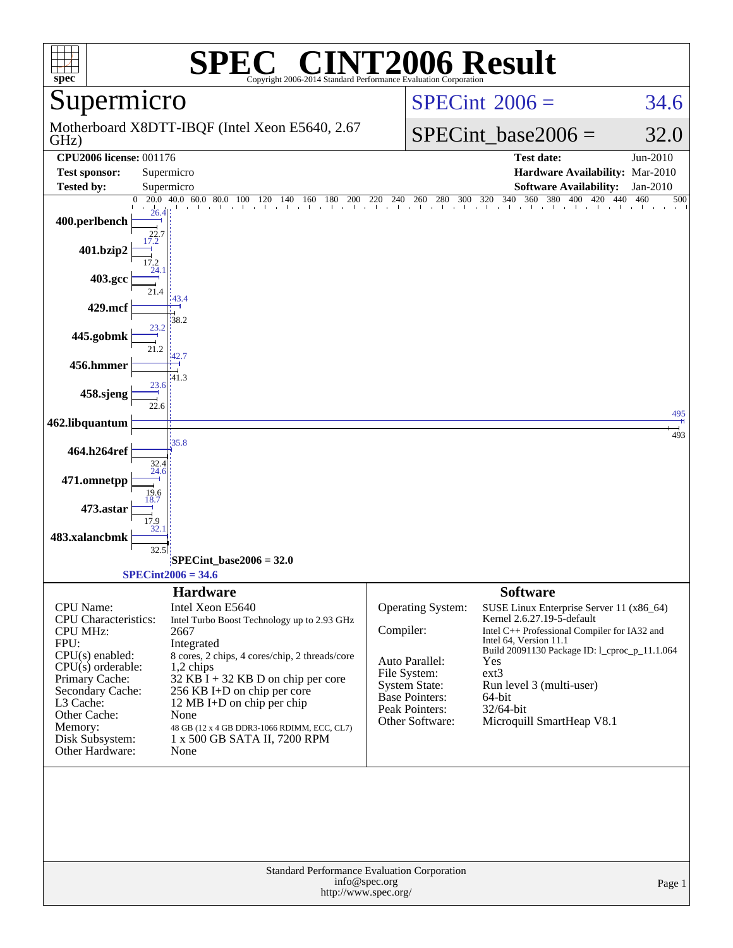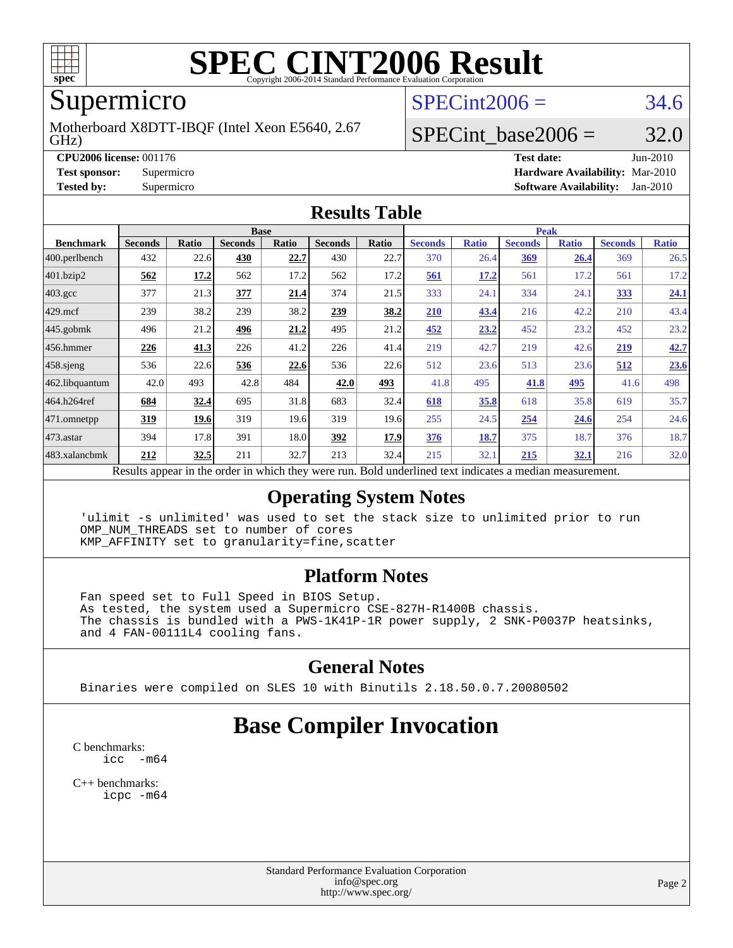

# **[SPEC CINT2006 Result](http://www.spec.org/auto/cpu2006/Docs/result-fields.html#SPECCINT2006Result)**

# Supermicro

GHz) Motherboard X8DTT-IBQF (Intel Xeon E5640, 2.67  $SPECint2006 = 34.6$  $SPECint2006 = 34.6$ 

## SPECint base2006 =  $32.0$

**[CPU2006 license:](http://www.spec.org/auto/cpu2006/Docs/result-fields.html#CPU2006license)** 001176 **[Test date:](http://www.spec.org/auto/cpu2006/Docs/result-fields.html#Testdate)** Jun-2010 **[Test sponsor:](http://www.spec.org/auto/cpu2006/Docs/result-fields.html#Testsponsor)** Supermicro **[Hardware Availability:](http://www.spec.org/auto/cpu2006/Docs/result-fields.html#HardwareAvailability)** Mar-2010 **[Tested by:](http://www.spec.org/auto/cpu2006/Docs/result-fields.html#Testedby)** Supermicro **[Software Availability:](http://www.spec.org/auto/cpu2006/Docs/result-fields.html#SoftwareAvailability)** Jan-2010

#### **[Results Table](http://www.spec.org/auto/cpu2006/Docs/result-fields.html#ResultsTable)**

|                    | <b>Base</b>                                                                                             |              |                |       |                |       | <b>Peak</b>    |              |                |              |                |              |
|--------------------|---------------------------------------------------------------------------------------------------------|--------------|----------------|-------|----------------|-------|----------------|--------------|----------------|--------------|----------------|--------------|
| <b>Benchmark</b>   | <b>Seconds</b>                                                                                          | <b>Ratio</b> | <b>Seconds</b> | Ratio | <b>Seconds</b> | Ratio | <b>Seconds</b> | <b>Ratio</b> | <b>Seconds</b> | <b>Ratio</b> | <b>Seconds</b> | <b>Ratio</b> |
| 400.perlbench      | 432                                                                                                     | 22.6         | 430            | 22.7  | 430            | 22.7  | 370            | 26.4         | 369            | 26.4         | 369            | 26.5         |
| 401.bzip2          | 562                                                                                                     | 17.2         | 562            | 17.2  | 562            | 17.2  | 561            | 17.2         | 561            | 17.2         | 561            | 17.2         |
| $403.\mathrm{gcc}$ | 377                                                                                                     | 21.3         | 377            | 21.4  | 374            | 21.5  | 333            | 24.1         | 334            | 24.1         | 333            | 24.1         |
| $429$ .mcf         | 239                                                                                                     | 38.2         | 239            | 38.2  | 239            | 38.2  | 210            | 43.4         | 216            | 42.2         | 210            | 43.4         |
| $445$ .gobmk       | 496                                                                                                     | 21.2         | 496            | 21.2  | 495            | 21.2  | 452            | 23.2         | 452            | 23.2         | 452            | 23.2         |
| 456.hmmer          | 226                                                                                                     | <u>41.3</u>  | 226            | 41.2  | 226            | 41.4  | 219            | 42.7         | 219            | 42.6         | 219            | 42.7         |
| $458$ .sjeng       | 536                                                                                                     | 22.6         | 536            | 22.6  | 536            | 22.6  | 512            | 23.6         | 513            | 23.6         | 512            | 23.6         |
| 462.libquantum     | 42.0                                                                                                    | 493          | 42.8           | 484   | 42.0           | 493   | 41.8           | 495          | 41.8           | 495          | 41.6           | 498          |
| 464.h264ref        | 684                                                                                                     | 32.4         | 695            | 31.8  | 683            | 32.4  | 618            | 35.8         | 618            | 35.8         | 619            | 35.7         |
| 471.omnetpp        | 319                                                                                                     | 19.6         | 319            | 19.6  | 319            | 19.6  | 255            | 24.5         | 254            | 24.6         | 254            | 24.6         |
| $473$ . astar      | 394                                                                                                     | 17.8         | 391            | 18.0  | 392            | 17.9  | 376            | 18.7         | 375            | 18.7         | 376            | 18.7         |
| 483.xalancbmk      | 212                                                                                                     | 32.5         | 211            | 32.7  | 213            | 32.4  | 215            | 32.1         | 215            | 32.1         | 216            | 32.0         |
|                    | Doculte appear in the order in which they were run. Rold underlined text indicates a modian measurement |              |                |       |                |       |                |              |                |              |                |              |

sults appear in the [order in which they were run.](http://www.spec.org/auto/cpu2006/Docs/result-fields.html#RunOrder) Bold underlined text [indicates a median measurement.](http://www.spec.org/auto/cpu2006/Docs/result-fields.html#Median)

#### **[Operating System Notes](http://www.spec.org/auto/cpu2006/Docs/result-fields.html#OperatingSystemNotes)**

 'ulimit -s unlimited' was used to set the stack size to unlimited prior to run OMP\_NUM\_THREADS set to number of cores KMP\_AFFINITY set to granularity=fine,scatter

#### **[Platform Notes](http://www.spec.org/auto/cpu2006/Docs/result-fields.html#PlatformNotes)**

 Fan speed set to Full Speed in BIOS Setup. As tested, the system used a Supermicro CSE-827H-R1400B chassis. The chassis is bundled with a PWS-1K41P-1R power supply, 2 SNK-P0037P heatsinks, and 4 FAN-00111L4 cooling fans.

#### **[General Notes](http://www.spec.org/auto/cpu2006/Docs/result-fields.html#GeneralNotes)**

Binaries were compiled on SLES 10 with Binutils 2.18.50.0.7.20080502

## **[Base Compiler Invocation](http://www.spec.org/auto/cpu2006/Docs/result-fields.html#BaseCompilerInvocation)**

[C benchmarks](http://www.spec.org/auto/cpu2006/Docs/result-fields.html#Cbenchmarks):  $\text{icc}$   $-\text{m64}$ 

[C++ benchmarks:](http://www.spec.org/auto/cpu2006/Docs/result-fields.html#CXXbenchmarks) [icpc -m64](http://www.spec.org/cpu2006/results/res2010q3/cpu2006-20100615-11704.flags.html#user_CXXbase_intel_icpc_64bit_fc66a5337ce925472a5c54ad6a0de310)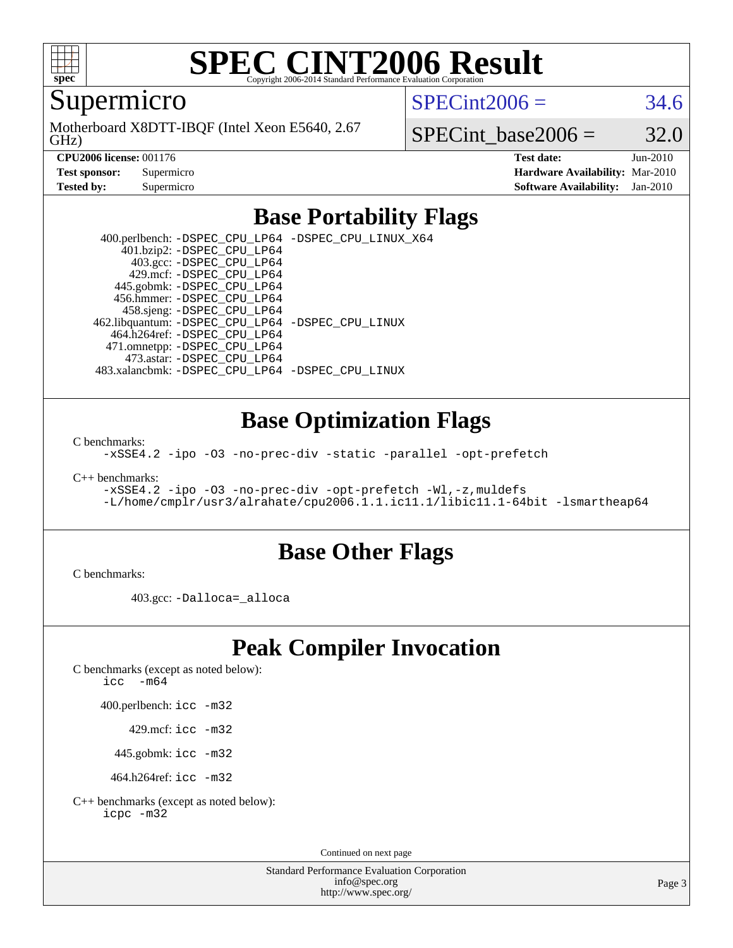

# **[SPEC CINT2006 Result](http://www.spec.org/auto/cpu2006/Docs/result-fields.html#SPECCINT2006Result)**

Supermicro

GHz) Motherboard X8DTT-IBQF (Intel Xeon E5640, 2.67  $SPECint2006 = 34.6$  $SPECint2006 = 34.6$ 

SPECint base2006 =  $32.0$ 

**[CPU2006 license:](http://www.spec.org/auto/cpu2006/Docs/result-fields.html#CPU2006license)** 001176 **[Test date:](http://www.spec.org/auto/cpu2006/Docs/result-fields.html#Testdate)** Jun-2010 **[Test sponsor:](http://www.spec.org/auto/cpu2006/Docs/result-fields.html#Testsponsor)** Supermicro **[Hardware Availability:](http://www.spec.org/auto/cpu2006/Docs/result-fields.html#HardwareAvailability)** Mar-2010 **[Tested by:](http://www.spec.org/auto/cpu2006/Docs/result-fields.html#Testedby)** Supermicro **[Software Availability:](http://www.spec.org/auto/cpu2006/Docs/result-fields.html#SoftwareAvailability)** Jan-2010

### **[Base Portability Flags](http://www.spec.org/auto/cpu2006/Docs/result-fields.html#BasePortabilityFlags)**

 400.perlbench: [-DSPEC\\_CPU\\_LP64](http://www.spec.org/cpu2006/results/res2010q3/cpu2006-20100615-11704.flags.html#b400.perlbench_basePORTABILITY_DSPEC_CPU_LP64) [-DSPEC\\_CPU\\_LINUX\\_X64](http://www.spec.org/cpu2006/results/res2010q3/cpu2006-20100615-11704.flags.html#b400.perlbench_baseCPORTABILITY_DSPEC_CPU_LINUX_X64) 401.bzip2: [-DSPEC\\_CPU\\_LP64](http://www.spec.org/cpu2006/results/res2010q3/cpu2006-20100615-11704.flags.html#suite_basePORTABILITY401_bzip2_DSPEC_CPU_LP64) 403.gcc: [-DSPEC\\_CPU\\_LP64](http://www.spec.org/cpu2006/results/res2010q3/cpu2006-20100615-11704.flags.html#suite_basePORTABILITY403_gcc_DSPEC_CPU_LP64) 429.mcf: [-DSPEC\\_CPU\\_LP64](http://www.spec.org/cpu2006/results/res2010q3/cpu2006-20100615-11704.flags.html#suite_basePORTABILITY429_mcf_DSPEC_CPU_LP64) 445.gobmk: [-DSPEC\\_CPU\\_LP64](http://www.spec.org/cpu2006/results/res2010q3/cpu2006-20100615-11704.flags.html#suite_basePORTABILITY445_gobmk_DSPEC_CPU_LP64) 456.hmmer: [-DSPEC\\_CPU\\_LP64](http://www.spec.org/cpu2006/results/res2010q3/cpu2006-20100615-11704.flags.html#suite_basePORTABILITY456_hmmer_DSPEC_CPU_LP64) 458.sjeng: [-DSPEC\\_CPU\\_LP64](http://www.spec.org/cpu2006/results/res2010q3/cpu2006-20100615-11704.flags.html#suite_basePORTABILITY458_sjeng_DSPEC_CPU_LP64) 462.libquantum: [-DSPEC\\_CPU\\_LP64](http://www.spec.org/cpu2006/results/res2010q3/cpu2006-20100615-11704.flags.html#suite_basePORTABILITY462_libquantum_DSPEC_CPU_LP64) [-DSPEC\\_CPU\\_LINUX](http://www.spec.org/cpu2006/results/res2010q3/cpu2006-20100615-11704.flags.html#b462.libquantum_baseCPORTABILITY_DSPEC_CPU_LINUX) 464.h264ref: [-DSPEC\\_CPU\\_LP64](http://www.spec.org/cpu2006/results/res2010q3/cpu2006-20100615-11704.flags.html#suite_basePORTABILITY464_h264ref_DSPEC_CPU_LP64) 471.omnetpp: [-DSPEC\\_CPU\\_LP64](http://www.spec.org/cpu2006/results/res2010q3/cpu2006-20100615-11704.flags.html#suite_basePORTABILITY471_omnetpp_DSPEC_CPU_LP64) 473.astar: [-DSPEC\\_CPU\\_LP64](http://www.spec.org/cpu2006/results/res2010q3/cpu2006-20100615-11704.flags.html#suite_basePORTABILITY473_astar_DSPEC_CPU_LP64) 483.xalancbmk: [-DSPEC\\_CPU\\_LP64](http://www.spec.org/cpu2006/results/res2010q3/cpu2006-20100615-11704.flags.html#suite_basePORTABILITY483_xalancbmk_DSPEC_CPU_LP64) [-DSPEC\\_CPU\\_LINUX](http://www.spec.org/cpu2006/results/res2010q3/cpu2006-20100615-11704.flags.html#b483.xalancbmk_baseCXXPORTABILITY_DSPEC_CPU_LINUX)

#### **[Base Optimization Flags](http://www.spec.org/auto/cpu2006/Docs/result-fields.html#BaseOptimizationFlags)**

[C benchmarks](http://www.spec.org/auto/cpu2006/Docs/result-fields.html#Cbenchmarks):

[-xSSE4.2](http://www.spec.org/cpu2006/results/res2010q3/cpu2006-20100615-11704.flags.html#user_CCbase_f-xSSE42_f91528193cf0b216347adb8b939d4107) [-ipo](http://www.spec.org/cpu2006/results/res2010q3/cpu2006-20100615-11704.flags.html#user_CCbase_f-ipo) [-O3](http://www.spec.org/cpu2006/results/res2010q3/cpu2006-20100615-11704.flags.html#user_CCbase_f-O3) [-no-prec-div](http://www.spec.org/cpu2006/results/res2010q3/cpu2006-20100615-11704.flags.html#user_CCbase_f-no-prec-div) [-static](http://www.spec.org/cpu2006/results/res2010q3/cpu2006-20100615-11704.flags.html#user_CCbase_f-static) [-parallel](http://www.spec.org/cpu2006/results/res2010q3/cpu2006-20100615-11704.flags.html#user_CCbase_f-parallel) [-opt-prefetch](http://www.spec.org/cpu2006/results/res2010q3/cpu2006-20100615-11704.flags.html#user_CCbase_f-opt-prefetch)

[C++ benchmarks:](http://www.spec.org/auto/cpu2006/Docs/result-fields.html#CXXbenchmarks)

```
-xSSE4.2 -ipo -O3 -no-prec-div -opt-prefetch -Wl,-z,muldefs
-L/home/cmplr/usr3/alrahate/cpu2006.1.1.ic11.1/libic11.1-64bit -lsmartheap64
```
#### **[Base Other Flags](http://www.spec.org/auto/cpu2006/Docs/result-fields.html#BaseOtherFlags)**

[C benchmarks](http://www.spec.org/auto/cpu2006/Docs/result-fields.html#Cbenchmarks):

403.gcc: [-Dalloca=\\_alloca](http://www.spec.org/cpu2006/results/res2010q3/cpu2006-20100615-11704.flags.html#b403.gcc_baseEXTRA_CFLAGS_Dalloca_be3056838c12de2578596ca5467af7f3)

## **[Peak Compiler Invocation](http://www.spec.org/auto/cpu2006/Docs/result-fields.html#PeakCompilerInvocation)**

[C benchmarks \(except as noted below\)](http://www.spec.org/auto/cpu2006/Docs/result-fields.html#Cbenchmarksexceptasnotedbelow):

[icc -m64](http://www.spec.org/cpu2006/results/res2010q3/cpu2006-20100615-11704.flags.html#user_CCpeak_intel_icc_64bit_f346026e86af2a669e726fe758c88044)

400.perlbench: [icc -m32](http://www.spec.org/cpu2006/results/res2010q3/cpu2006-20100615-11704.flags.html#user_peakCCLD400_perlbench_intel_icc_32bit_a6a621f8d50482236b970c6ac5f55f93)

429.mcf: [icc -m32](http://www.spec.org/cpu2006/results/res2010q3/cpu2006-20100615-11704.flags.html#user_peakCCLD429_mcf_intel_icc_32bit_a6a621f8d50482236b970c6ac5f55f93)

445.gobmk: [icc -m32](http://www.spec.org/cpu2006/results/res2010q3/cpu2006-20100615-11704.flags.html#user_peakCCLD445_gobmk_intel_icc_32bit_a6a621f8d50482236b970c6ac5f55f93)

464.h264ref: [icc -m32](http://www.spec.org/cpu2006/results/res2010q3/cpu2006-20100615-11704.flags.html#user_peakCCLD464_h264ref_intel_icc_32bit_a6a621f8d50482236b970c6ac5f55f93)

[C++ benchmarks \(except as noted below\):](http://www.spec.org/auto/cpu2006/Docs/result-fields.html#CXXbenchmarksexceptasnotedbelow) [icpc -m32](http://www.spec.org/cpu2006/results/res2010q3/cpu2006-20100615-11704.flags.html#user_CXXpeak_intel_icpc_32bit_4e5a5ef1a53fd332b3c49e69c3330699)

Continued on next page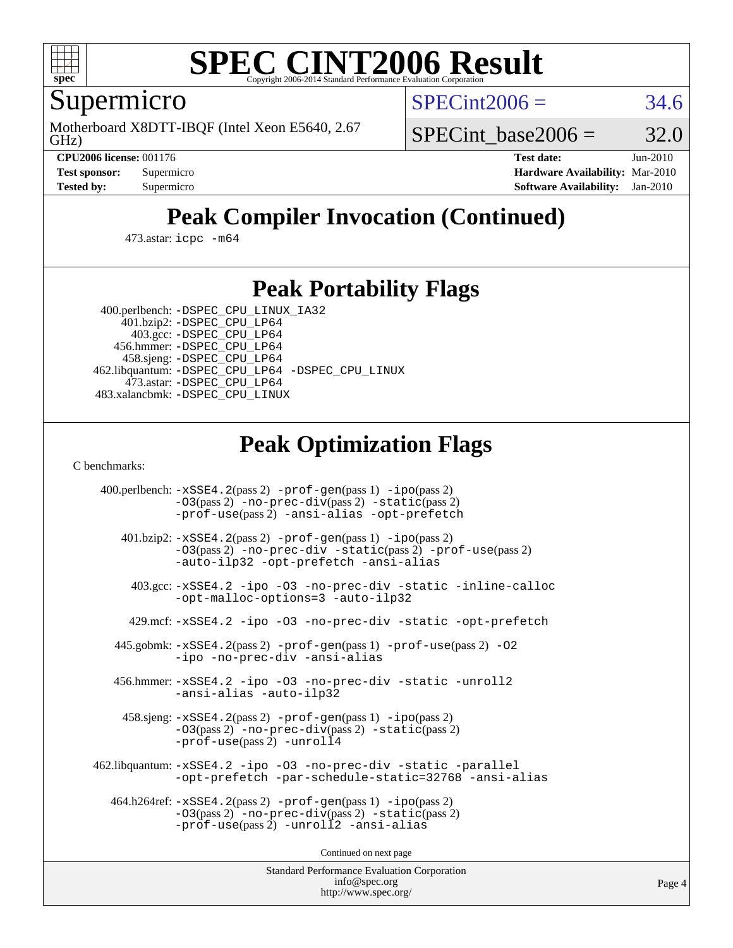

# **[SPEC CINT2006 Result](http://www.spec.org/auto/cpu2006/Docs/result-fields.html#SPECCINT2006Result)**

Supermicro

GHz) Motherboard X8DTT-IBQF (Intel Xeon E5640, 2.67  $SPECint2006 = 34.6$  $SPECint2006 = 34.6$ 

SPECint base2006 =  $32.0$ 

**[CPU2006 license:](http://www.spec.org/auto/cpu2006/Docs/result-fields.html#CPU2006license)** 001176 **[Test date:](http://www.spec.org/auto/cpu2006/Docs/result-fields.html#Testdate)** Jun-2010 **[Test sponsor:](http://www.spec.org/auto/cpu2006/Docs/result-fields.html#Testsponsor)** Supermicro **[Hardware Availability:](http://www.spec.org/auto/cpu2006/Docs/result-fields.html#HardwareAvailability)** Mar-2010 **[Tested by:](http://www.spec.org/auto/cpu2006/Docs/result-fields.html#Testedby)** Supermicro **[Software Availability:](http://www.spec.org/auto/cpu2006/Docs/result-fields.html#SoftwareAvailability)** Jan-2010

# **[Peak Compiler Invocation \(Continued\)](http://www.spec.org/auto/cpu2006/Docs/result-fields.html#PeakCompilerInvocation)**

473.astar: [icpc -m64](http://www.spec.org/cpu2006/results/res2010q3/cpu2006-20100615-11704.flags.html#user_peakCXXLD473_astar_intel_icpc_64bit_fc66a5337ce925472a5c54ad6a0de310)

### **[Peak Portability Flags](http://www.spec.org/auto/cpu2006/Docs/result-fields.html#PeakPortabilityFlags)**

 400.perlbench: [-DSPEC\\_CPU\\_LINUX\\_IA32](http://www.spec.org/cpu2006/results/res2010q3/cpu2006-20100615-11704.flags.html#b400.perlbench_peakCPORTABILITY_DSPEC_CPU_LINUX_IA32) 401.bzip2: [-DSPEC\\_CPU\\_LP64](http://www.spec.org/cpu2006/results/res2010q3/cpu2006-20100615-11704.flags.html#suite_peakPORTABILITY401_bzip2_DSPEC_CPU_LP64)

 403.gcc: [-DSPEC\\_CPU\\_LP64](http://www.spec.org/cpu2006/results/res2010q3/cpu2006-20100615-11704.flags.html#suite_peakPORTABILITY403_gcc_DSPEC_CPU_LP64) 456.hmmer: [-DSPEC\\_CPU\\_LP64](http://www.spec.org/cpu2006/results/res2010q3/cpu2006-20100615-11704.flags.html#suite_peakPORTABILITY456_hmmer_DSPEC_CPU_LP64) 458.sjeng: [-DSPEC\\_CPU\\_LP64](http://www.spec.org/cpu2006/results/res2010q3/cpu2006-20100615-11704.flags.html#suite_peakPORTABILITY458_sjeng_DSPEC_CPU_LP64) 462.libquantum: [-DSPEC\\_CPU\\_LP64](http://www.spec.org/cpu2006/results/res2010q3/cpu2006-20100615-11704.flags.html#suite_peakPORTABILITY462_libquantum_DSPEC_CPU_LP64) [-DSPEC\\_CPU\\_LINUX](http://www.spec.org/cpu2006/results/res2010q3/cpu2006-20100615-11704.flags.html#b462.libquantum_peakCPORTABILITY_DSPEC_CPU_LINUX) 473.astar: [-DSPEC\\_CPU\\_LP64](http://www.spec.org/cpu2006/results/res2010q3/cpu2006-20100615-11704.flags.html#suite_peakPORTABILITY473_astar_DSPEC_CPU_LP64) 483.xalancbmk: [-DSPEC\\_CPU\\_LINUX](http://www.spec.org/cpu2006/results/res2010q3/cpu2006-20100615-11704.flags.html#b483.xalancbmk_peakCXXPORTABILITY_DSPEC_CPU_LINUX)

## **[Peak Optimization Flags](http://www.spec.org/auto/cpu2006/Docs/result-fields.html#PeakOptimizationFlags)**

[C benchmarks](http://www.spec.org/auto/cpu2006/Docs/result-fields.html#Cbenchmarks):

 400.perlbench: [-xSSE4.2](http://www.spec.org/cpu2006/results/res2010q3/cpu2006-20100615-11704.flags.html#user_peakPASS2_CFLAGSPASS2_LDCFLAGS400_perlbench_f-xSSE42_f91528193cf0b216347adb8b939d4107)(pass 2) [-prof-gen](http://www.spec.org/cpu2006/results/res2010q3/cpu2006-20100615-11704.flags.html#user_peakPASS1_CFLAGSPASS1_LDCFLAGS400_perlbench_prof_gen_e43856698f6ca7b7e442dfd80e94a8fc)(pass 1) [-ipo](http://www.spec.org/cpu2006/results/res2010q3/cpu2006-20100615-11704.flags.html#user_peakPASS2_CFLAGSPASS2_LDCFLAGS400_perlbench_f-ipo)(pass 2) [-O3](http://www.spec.org/cpu2006/results/res2010q3/cpu2006-20100615-11704.flags.html#user_peakPASS2_CFLAGSPASS2_LDCFLAGS400_perlbench_f-O3)(pass 2) [-no-prec-div](http://www.spec.org/cpu2006/results/res2010q3/cpu2006-20100615-11704.flags.html#user_peakPASS2_CFLAGSPASS2_LDCFLAGS400_perlbench_f-no-prec-div)(pass 2) [-static](http://www.spec.org/cpu2006/results/res2010q3/cpu2006-20100615-11704.flags.html#user_peakPASS2_CFLAGSPASS2_LDCFLAGS400_perlbench_f-static)(pass 2) [-prof-use](http://www.spec.org/cpu2006/results/res2010q3/cpu2006-20100615-11704.flags.html#user_peakPASS2_CFLAGSPASS2_LDCFLAGS400_perlbench_prof_use_bccf7792157ff70d64e32fe3e1250b55)(pass 2) [-ansi-alias](http://www.spec.org/cpu2006/results/res2010q3/cpu2006-20100615-11704.flags.html#user_peakCOPTIMIZE400_perlbench_f-ansi-alias) [-opt-prefetch](http://www.spec.org/cpu2006/results/res2010q3/cpu2006-20100615-11704.flags.html#user_peakCOPTIMIZE400_perlbench_f-opt-prefetch) 401.bzip2: [-xSSE4.2](http://www.spec.org/cpu2006/results/res2010q3/cpu2006-20100615-11704.flags.html#user_peakPASS2_CFLAGSPASS2_LDCFLAGS401_bzip2_f-xSSE42_f91528193cf0b216347adb8b939d4107)(pass 2) [-prof-gen](http://www.spec.org/cpu2006/results/res2010q3/cpu2006-20100615-11704.flags.html#user_peakPASS1_CFLAGSPASS1_LDCFLAGS401_bzip2_prof_gen_e43856698f6ca7b7e442dfd80e94a8fc)(pass 1) [-ipo](http://www.spec.org/cpu2006/results/res2010q3/cpu2006-20100615-11704.flags.html#user_peakPASS2_CFLAGSPASS2_LDCFLAGS401_bzip2_f-ipo)(pass 2) [-O3](http://www.spec.org/cpu2006/results/res2010q3/cpu2006-20100615-11704.flags.html#user_peakPASS2_CFLAGSPASS2_LDCFLAGS401_bzip2_f-O3)(pass 2) [-no-prec-div](http://www.spec.org/cpu2006/results/res2010q3/cpu2006-20100615-11704.flags.html#user_peakCOPTIMIZEPASS2_CFLAGSPASS2_LDCFLAGS401_bzip2_f-no-prec-div) [-static](http://www.spec.org/cpu2006/results/res2010q3/cpu2006-20100615-11704.flags.html#user_peakPASS2_CFLAGSPASS2_LDCFLAGS401_bzip2_f-static)(pass 2) [-prof-use](http://www.spec.org/cpu2006/results/res2010q3/cpu2006-20100615-11704.flags.html#user_peakPASS2_CFLAGSPASS2_LDCFLAGS401_bzip2_prof_use_bccf7792157ff70d64e32fe3e1250b55)(pass 2) [-auto-ilp32](http://www.spec.org/cpu2006/results/res2010q3/cpu2006-20100615-11704.flags.html#user_peakCOPTIMIZE401_bzip2_f-auto-ilp32) [-opt-prefetch](http://www.spec.org/cpu2006/results/res2010q3/cpu2006-20100615-11704.flags.html#user_peakCOPTIMIZE401_bzip2_f-opt-prefetch) [-ansi-alias](http://www.spec.org/cpu2006/results/res2010q3/cpu2006-20100615-11704.flags.html#user_peakCOPTIMIZE401_bzip2_f-ansi-alias) 403.gcc: [-xSSE4.2](http://www.spec.org/cpu2006/results/res2010q3/cpu2006-20100615-11704.flags.html#user_peakCOPTIMIZE403_gcc_f-xSSE42_f91528193cf0b216347adb8b939d4107) [-ipo](http://www.spec.org/cpu2006/results/res2010q3/cpu2006-20100615-11704.flags.html#user_peakCOPTIMIZE403_gcc_f-ipo) [-O3](http://www.spec.org/cpu2006/results/res2010q3/cpu2006-20100615-11704.flags.html#user_peakCOPTIMIZE403_gcc_f-O3) [-no-prec-div](http://www.spec.org/cpu2006/results/res2010q3/cpu2006-20100615-11704.flags.html#user_peakCOPTIMIZE403_gcc_f-no-prec-div) [-static](http://www.spec.org/cpu2006/results/res2010q3/cpu2006-20100615-11704.flags.html#user_peakCOPTIMIZE403_gcc_f-static) [-inline-calloc](http://www.spec.org/cpu2006/results/res2010q3/cpu2006-20100615-11704.flags.html#user_peakCOPTIMIZE403_gcc_f-inline-calloc) [-opt-malloc-options=3](http://www.spec.org/cpu2006/results/res2010q3/cpu2006-20100615-11704.flags.html#user_peakCOPTIMIZE403_gcc_f-opt-malloc-options_13ab9b803cf986b4ee62f0a5998c2238) [-auto-ilp32](http://www.spec.org/cpu2006/results/res2010q3/cpu2006-20100615-11704.flags.html#user_peakCOPTIMIZE403_gcc_f-auto-ilp32) 429.mcf: [-xSSE4.2](http://www.spec.org/cpu2006/results/res2010q3/cpu2006-20100615-11704.flags.html#user_peakCOPTIMIZE429_mcf_f-xSSE42_f91528193cf0b216347adb8b939d4107) [-ipo](http://www.spec.org/cpu2006/results/res2010q3/cpu2006-20100615-11704.flags.html#user_peakCOPTIMIZE429_mcf_f-ipo) [-O3](http://www.spec.org/cpu2006/results/res2010q3/cpu2006-20100615-11704.flags.html#user_peakCOPTIMIZE429_mcf_f-O3) [-no-prec-div](http://www.spec.org/cpu2006/results/res2010q3/cpu2006-20100615-11704.flags.html#user_peakCOPTIMIZE429_mcf_f-no-prec-div) [-static](http://www.spec.org/cpu2006/results/res2010q3/cpu2006-20100615-11704.flags.html#user_peakCOPTIMIZE429_mcf_f-static) [-opt-prefetch](http://www.spec.org/cpu2006/results/res2010q3/cpu2006-20100615-11704.flags.html#user_peakCOPTIMIZE429_mcf_f-opt-prefetch) 445.gobmk: [-xSSE4.2](http://www.spec.org/cpu2006/results/res2010q3/cpu2006-20100615-11704.flags.html#user_peakPASS2_CFLAGSPASS2_LDCFLAGS445_gobmk_f-xSSE42_f91528193cf0b216347adb8b939d4107)(pass 2) [-prof-gen](http://www.spec.org/cpu2006/results/res2010q3/cpu2006-20100615-11704.flags.html#user_peakPASS1_CFLAGSPASS1_LDCFLAGS445_gobmk_prof_gen_e43856698f6ca7b7e442dfd80e94a8fc)(pass 1) [-prof-use](http://www.spec.org/cpu2006/results/res2010q3/cpu2006-20100615-11704.flags.html#user_peakPASS2_CFLAGSPASS2_LDCFLAGS445_gobmk_prof_use_bccf7792157ff70d64e32fe3e1250b55)(pass 2) [-O2](http://www.spec.org/cpu2006/results/res2010q3/cpu2006-20100615-11704.flags.html#user_peakCOPTIMIZE445_gobmk_f-O2) [-ipo](http://www.spec.org/cpu2006/results/res2010q3/cpu2006-20100615-11704.flags.html#user_peakCOPTIMIZE445_gobmk_f-ipo) [-no-prec-div](http://www.spec.org/cpu2006/results/res2010q3/cpu2006-20100615-11704.flags.html#user_peakCOPTIMIZE445_gobmk_f-no-prec-div) [-ansi-alias](http://www.spec.org/cpu2006/results/res2010q3/cpu2006-20100615-11704.flags.html#user_peakCOPTIMIZE445_gobmk_f-ansi-alias) 456.hmmer: [-xSSE4.2](http://www.spec.org/cpu2006/results/res2010q3/cpu2006-20100615-11704.flags.html#user_peakCOPTIMIZE456_hmmer_f-xSSE42_f91528193cf0b216347adb8b939d4107) [-ipo](http://www.spec.org/cpu2006/results/res2010q3/cpu2006-20100615-11704.flags.html#user_peakCOPTIMIZE456_hmmer_f-ipo) [-O3](http://www.spec.org/cpu2006/results/res2010q3/cpu2006-20100615-11704.flags.html#user_peakCOPTIMIZE456_hmmer_f-O3) [-no-prec-div](http://www.spec.org/cpu2006/results/res2010q3/cpu2006-20100615-11704.flags.html#user_peakCOPTIMIZE456_hmmer_f-no-prec-div) [-static](http://www.spec.org/cpu2006/results/res2010q3/cpu2006-20100615-11704.flags.html#user_peakCOPTIMIZE456_hmmer_f-static) [-unroll2](http://www.spec.org/cpu2006/results/res2010q3/cpu2006-20100615-11704.flags.html#user_peakCOPTIMIZE456_hmmer_f-unroll_784dae83bebfb236979b41d2422d7ec2) [-ansi-alias](http://www.spec.org/cpu2006/results/res2010q3/cpu2006-20100615-11704.flags.html#user_peakCOPTIMIZE456_hmmer_f-ansi-alias) [-auto-ilp32](http://www.spec.org/cpu2006/results/res2010q3/cpu2006-20100615-11704.flags.html#user_peakCOPTIMIZE456_hmmer_f-auto-ilp32) 458.sjeng: [-xSSE4.2](http://www.spec.org/cpu2006/results/res2010q3/cpu2006-20100615-11704.flags.html#user_peakPASS2_CFLAGSPASS2_LDCFLAGS458_sjeng_f-xSSE42_f91528193cf0b216347adb8b939d4107)(pass 2) [-prof-gen](http://www.spec.org/cpu2006/results/res2010q3/cpu2006-20100615-11704.flags.html#user_peakPASS1_CFLAGSPASS1_LDCFLAGS458_sjeng_prof_gen_e43856698f6ca7b7e442dfd80e94a8fc)(pass 1) [-ipo](http://www.spec.org/cpu2006/results/res2010q3/cpu2006-20100615-11704.flags.html#user_peakPASS2_CFLAGSPASS2_LDCFLAGS458_sjeng_f-ipo)(pass 2) [-O3](http://www.spec.org/cpu2006/results/res2010q3/cpu2006-20100615-11704.flags.html#user_peakPASS2_CFLAGSPASS2_LDCFLAGS458_sjeng_f-O3)(pass 2) [-no-prec-div](http://www.spec.org/cpu2006/results/res2010q3/cpu2006-20100615-11704.flags.html#user_peakPASS2_CFLAGSPASS2_LDCFLAGS458_sjeng_f-no-prec-div)(pass 2) [-static](http://www.spec.org/cpu2006/results/res2010q3/cpu2006-20100615-11704.flags.html#user_peakPASS2_CFLAGSPASS2_LDCFLAGS458_sjeng_f-static)(pass 2) [-prof-use](http://www.spec.org/cpu2006/results/res2010q3/cpu2006-20100615-11704.flags.html#user_peakPASS2_CFLAGSPASS2_LDCFLAGS458_sjeng_prof_use_bccf7792157ff70d64e32fe3e1250b55)(pass 2) [-unroll4](http://www.spec.org/cpu2006/results/res2010q3/cpu2006-20100615-11704.flags.html#user_peakCOPTIMIZE458_sjeng_f-unroll_4e5e4ed65b7fd20bdcd365bec371b81f) 462.libquantum: [-xSSE4.2](http://www.spec.org/cpu2006/results/res2010q3/cpu2006-20100615-11704.flags.html#user_peakCOPTIMIZE462_libquantum_f-xSSE42_f91528193cf0b216347adb8b939d4107) [-ipo](http://www.spec.org/cpu2006/results/res2010q3/cpu2006-20100615-11704.flags.html#user_peakCOPTIMIZE462_libquantum_f-ipo) [-O3](http://www.spec.org/cpu2006/results/res2010q3/cpu2006-20100615-11704.flags.html#user_peakCOPTIMIZE462_libquantum_f-O3) [-no-prec-div](http://www.spec.org/cpu2006/results/res2010q3/cpu2006-20100615-11704.flags.html#user_peakCOPTIMIZE462_libquantum_f-no-prec-div) [-static](http://www.spec.org/cpu2006/results/res2010q3/cpu2006-20100615-11704.flags.html#user_peakCOPTIMIZE462_libquantum_f-static) [-parallel](http://www.spec.org/cpu2006/results/res2010q3/cpu2006-20100615-11704.flags.html#user_peakCOPTIMIZE462_libquantum_f-parallel) [-opt-prefetch](http://www.spec.org/cpu2006/results/res2010q3/cpu2006-20100615-11704.flags.html#user_peakCOPTIMIZE462_libquantum_f-opt-prefetch) [-par-schedule-static=32768](http://www.spec.org/cpu2006/results/res2010q3/cpu2006-20100615-11704.flags.html#user_peakCOPTIMIZE462_libquantum_f-par-schedule_9386bcd99ba64e99ee01d1aafefddd14) [-ansi-alias](http://www.spec.org/cpu2006/results/res2010q3/cpu2006-20100615-11704.flags.html#user_peakCOPTIMIZE462_libquantum_f-ansi-alias) 464.h264ref: [-xSSE4.2](http://www.spec.org/cpu2006/results/res2010q3/cpu2006-20100615-11704.flags.html#user_peakPASS2_CFLAGSPASS2_LDCFLAGS464_h264ref_f-xSSE42_f91528193cf0b216347adb8b939d4107)(pass 2) [-prof-gen](http://www.spec.org/cpu2006/results/res2010q3/cpu2006-20100615-11704.flags.html#user_peakPASS1_CFLAGSPASS1_LDCFLAGS464_h264ref_prof_gen_e43856698f6ca7b7e442dfd80e94a8fc)(pass 1) [-ipo](http://www.spec.org/cpu2006/results/res2010q3/cpu2006-20100615-11704.flags.html#user_peakPASS2_CFLAGSPASS2_LDCFLAGS464_h264ref_f-ipo)(pass 2) [-O3](http://www.spec.org/cpu2006/results/res2010q3/cpu2006-20100615-11704.flags.html#user_peakPASS2_CFLAGSPASS2_LDCFLAGS464_h264ref_f-O3)(pass 2) [-no-prec-div](http://www.spec.org/cpu2006/results/res2010q3/cpu2006-20100615-11704.flags.html#user_peakPASS2_CFLAGSPASS2_LDCFLAGS464_h264ref_f-no-prec-div)(pass 2) [-static](http://www.spec.org/cpu2006/results/res2010q3/cpu2006-20100615-11704.flags.html#user_peakPASS2_CFLAGSPASS2_LDCFLAGS464_h264ref_f-static)(pass 2) [-prof-use](http://www.spec.org/cpu2006/results/res2010q3/cpu2006-20100615-11704.flags.html#user_peakPASS2_CFLAGSPASS2_LDCFLAGS464_h264ref_prof_use_bccf7792157ff70d64e32fe3e1250b55)(pass 2) [-unroll2](http://www.spec.org/cpu2006/results/res2010q3/cpu2006-20100615-11704.flags.html#user_peakCOPTIMIZE464_h264ref_f-unroll_784dae83bebfb236979b41d2422d7ec2) [-ansi-alias](http://www.spec.org/cpu2006/results/res2010q3/cpu2006-20100615-11704.flags.html#user_peakCOPTIMIZE464_h264ref_f-ansi-alias)

Continued on next page